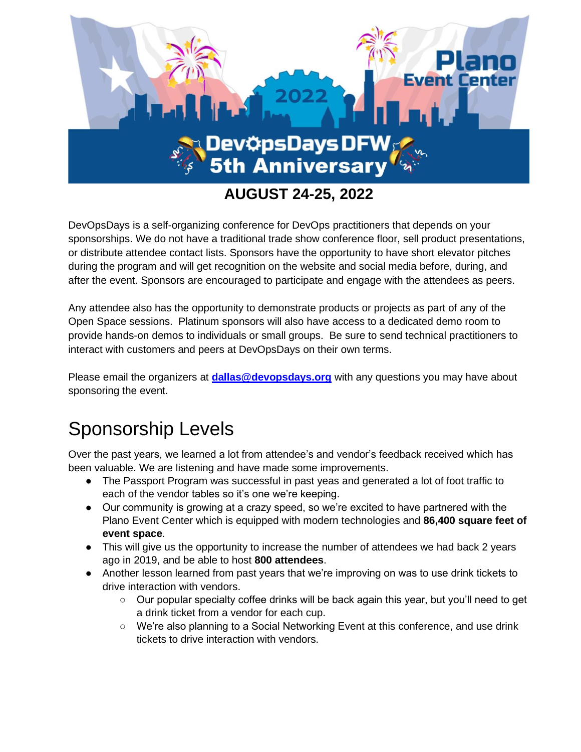

DevOpsDays is a self-organizing conference for DevOps practitioners that depends on your sponsorships. We do not have a traditional trade show conference floor, sell product presentations, or distribute attendee contact lists. Sponsors have the opportunity to have short elevator pitches during the program and will get recognition on the website and social media before, during, and after the event. Sponsors are encouraged to participate and engage with the attendees as peers.

Any attendee also has the opportunity to demonstrate products or projects as part of any of the Open Space sessions. Platinum sponsors will also have access to a dedicated demo room to provide hands-on demos to individuals or small groups. Be sure to send technical practitioners to interact with customers and peers at DevOpsDays on their own terms.

Please email the organizers at **[dallas@devopsdays.org](mailto:dallas@devopsdays.org)** with any questions you may have about sponsoring the event.

# Sponsorship Levels

Over the past years, we learned a lot from attendee's and vendor's feedback received which has been valuable. We are listening and have made some improvements.

- The Passport Program was successful in past yeas and generated a lot of foot traffic to each of the vendor tables so it's one we're keeping.
- Our community is growing at a crazy speed, so we're excited to have partnered with the Plano Event Center which is equipped with modern technologies and **86,400 square feet of event space**.
- This will give us the opportunity to increase the number of attendees we had back 2 years ago in 2019, and be able to host **800 attendees**.
- Another lesson learned from past years that we're improving on was to use drink tickets to drive interaction with vendors.
	- Our popular specialty coffee drinks will be back again this year, but you'll need to get a drink ticket from a vendor for each cup.
	- We're also planning to a Social Networking Event at this conference, and use drink tickets to drive interaction with vendors.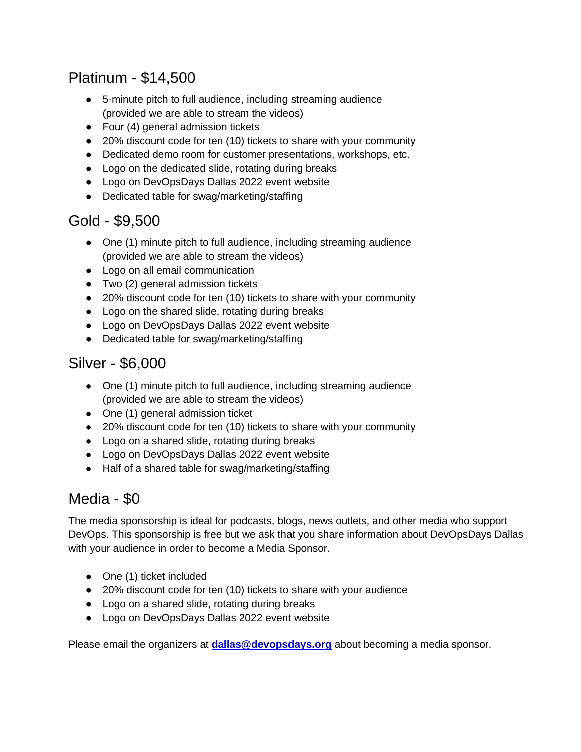## Platinum - \$14,500

- 5-minute pitch to full audience, including streaming audience (provided we are able to stream the videos)
- Four (4) general admission tickets
- 20% discount code for ten (10) tickets to share with your community
- Dedicated demo room for customer presentations, workshops, etc.
- Logo on the dedicated slide, rotating during breaks
- Logo on DevOpsDays Dallas 2022 event website
- Dedicated table for swag/marketing/staffing

## Gold - \$9,500

- One (1) minute pitch to full audience, including streaming audience (provided we are able to stream the videos)
- Logo on all email communication
- Two (2) general admission tickets
- 20% discount code for ten (10) tickets to share with your community
- Logo on the shared slide, rotating during breaks
- Logo on DevOpsDays Dallas 2022 event website
- Dedicated table for swag/marketing/staffing

### Silver - \$6,000

- One (1) minute pitch to full audience, including streaming audience (provided we are able to stream the videos)
- One (1) general admission ticket
- 20% discount code for ten (10) tickets to share with your community
- Logo on a shared slide, rotating during breaks
- Logo on DevOpsDays Dallas 2022 event website
- Half of a shared table for swag/marketing/staffing

## Media - \$0

The media sponsorship is ideal for podcasts, blogs, news outlets, and other media who support DevOps. This sponsorship is free but we ask that you share information about DevOpsDays Dallas with your audience in order to become a Media Sponsor.

- One (1) ticket included
- 20% discount code for ten (10) tickets to share with your audience
- Logo on a shared slide, rotating during breaks
- Logo on DevOpsDays Dallas 2022 event website

Please email the organizers at **[dallas@devopsdays.org](mailto:dallas@devopsdays.org)** about becoming a media sponsor.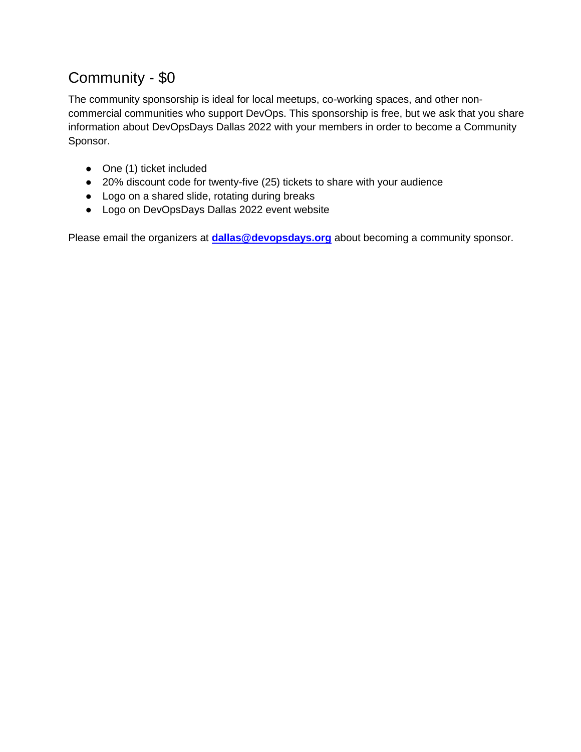## Community - \$0

The community sponsorship is ideal for local meetups, co-working spaces, and other noncommercial communities who support DevOps. This sponsorship is free, but we ask that you share information about DevOpsDays Dallas 2022 with your members in order to become a Community Sponsor.

- One (1) ticket included
- 20% discount code for twenty-five (25) tickets to share with your audience
- Logo on a shared slide, rotating during breaks
- Logo on DevOpsDays Dallas 2022 event website

Please email the organizers at **[dallas@devopsdays.org](mailto:dallas@devopsdays.org)** about becoming a community sponsor.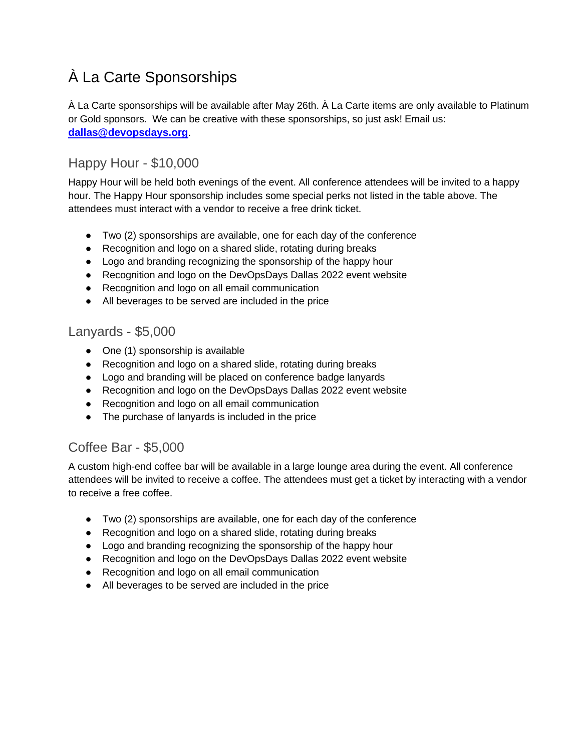## À La Carte Sponsorships

À La Carte sponsorships will be available after May 26th. À La Carte items are only available to Platinum or Gold sponsors. We can be creative with these sponsorships, so just ask! Email us: **[dallas@devopsdays.org](mailto:dallas@devopsdays.org)**.

#### Happy Hour - \$10,000

Happy Hour will be held both evenings of the event. All conference attendees will be invited to a happy hour. The Happy Hour sponsorship includes some special perks not listed in the table above. The attendees must interact with a vendor to receive a free drink ticket.

- Two (2) sponsorships are available, one for each day of the conference
- Recognition and logo on a shared slide, rotating during breaks
- Logo and branding recognizing the sponsorship of the happy hour
- Recognition and logo on the DevOpsDays Dallas 2022 event website
- Recognition and logo on all email communication
- All beverages to be served are included in the price

#### Lanyards - \$5,000

- One (1) sponsorship is available
- Recognition and logo on a shared slide, rotating during breaks
- Logo and branding will be placed on conference badge lanyards
- Recognition and logo on the DevOpsDays Dallas 2022 event website
- Recognition and logo on all email communication
- The purchase of lanyards is included in the price

#### Coffee Bar - \$5,000

A custom high-end coffee bar will be available in a large lounge area during the event. All conference attendees will be invited to receive a coffee. The attendees must get a ticket by interacting with a vendor to receive a free coffee.

- Two (2) sponsorships are available, one for each day of the conference
- Recognition and logo on a shared slide, rotating during breaks
- Logo and branding recognizing the sponsorship of the happy hour
- Recognition and logo on the DevOpsDays Dallas 2022 event website
- Recognition and logo on all email communication
- All beverages to be served are included in the price